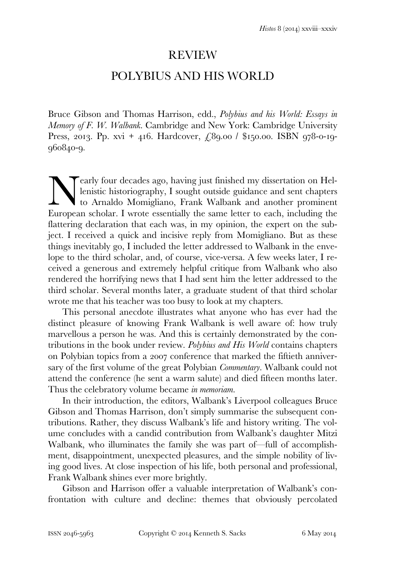## REVIEW

## POLYBIUS AND HIS WORLD

Bruce Gibson and Thomas Harrison, edd., *Polybius and his World: Essays in Memory of F. W. Walbank*. Cambridge and New York: Cambridge University Press, 2013. Pp. xvi + 416. Hardcover,  $\angle$ 89.00 / \$150.00. ISBN 978-0-19-960840-9.

early four decades ago, having just finished my dissertation on Hellenistic historiography, I sought outside guidance and sent chapters to Arnaldo Momigliano, Frank Walbank and another prominent European scholar. I wrote essentially the same letter to each, including the European scholar. I wrote essentially the same letter to each, including the flattering declaration that each was, in my opinion, the expert on the subject. I received a quick and incisive reply from Momigliano. But as these things inevitably go, I included the letter addressed to Walbank in the envelope to the third scholar, and, of course, vice-versa. A few weeks later, I received a generous and extremely helpful critique from Walbank who also rendered the horrifying news that I had sent him the letter addressed to the third scholar. Several months later, a graduate student of that third scholar wrote me that his teacher was too busy to look at my chapters.

 This personal anecdote illustrates what anyone who has ever had the distinct pleasure of knowing Frank Walbank is well aware of: how truly marvellous a person he was. And this is certainly demonstrated by the contributions in the book under review. *Polybius and His World* contains chapters on Polybian topics from a 2007 conference that marked the fiftieth anniversary of the first volume of the great Polybian *Commentary*. Walbank could not attend the conference (he sent a warm salute) and died fifteen months later. Thus the celebratory volume became *in memoriam.*

 In their introduction, the editors, Walbank's Liverpool colleagues Bruce Gibson and Thomas Harrison, don't simply summarise the subsequent contributions. Rather, they discuss Walbank's life and history writing. The volume concludes with a candid contribution from Walbank's daughter Mitzi Walbank, who illuminates the family she was part of—full of accomplishment, disappointment, unexpected pleasures, and the simple nobility of living good lives. At close inspection of his life, both personal and professional, Frank Walbank shines ever more brightly.

 Gibson and Harrison offer a valuable interpretation of Walbank's confrontation with culture and decline: themes that obviously percolated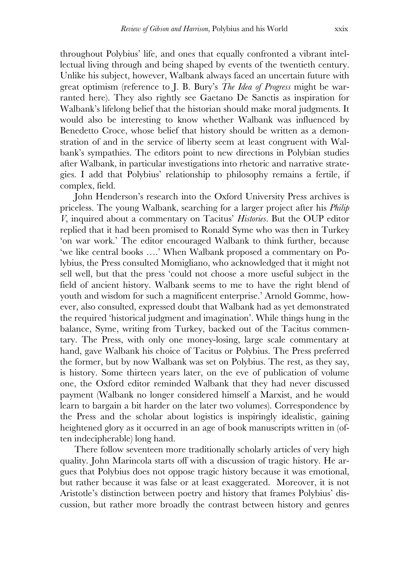throughout Polybius' life, and ones that equally confronted a vibrant intellectual living through and being shaped by events of the twentieth century. Unlike his subject, however, Walbank always faced an uncertain future with great optimism (reference to J. B. Bury's *The Idea of Progress* might be warranted here). They also rightly see Gaetano De Sanctis as inspiration for Walbank's lifelong belief that the historian should make moral judgments. It would also be interesting to know whether Walbank was influenced by Benedetto Croce, whose belief that history should be written as a demonstration of and in the service of liberty seem at least congruent with Walbank's sympathies. The editors point to new directions in Polybian studies after Walbank, in particular investigations into rhetoric and narrative strategies. I add that Polybius' relationship to philosophy remains a fertile, if complex, field.

 John Henderson's research into the Oxford University Press archives is priceless. The young Walbank, searching for a larger project after his *Philip V*, inquired about a commentary on Tacitus' *Histories*. But the OUP editor replied that it had been promised to Ronald Syme who was then in Turkey 'on war work.' The editor encouraged Walbank to think further, because 'we like central books ….' When Walbank proposed a commentary on Polybius, the Press consulted Momigliano, who acknowledged that it might not sell well, but that the press 'could not choose a more useful subject in the field of ancient history. Walbank seems to me to have the right blend of youth and wisdom for such a magnificent enterprise.' Arnold Gomme, however, also consulted, expressed doubt that Walbank had as yet demonstrated the required 'historical judgment and imagination'. While things hung in the balance, Syme, writing from Turkey, backed out of the Tacitus commentary. The Press, with only one money-losing, large scale commentary at hand, gave Walbank his choice of Tacitus or Polybius. The Press preferred the former, but by now Walbank was set on Polybius. The rest, as they say, is history. Some thirteen years later, on the eve of publication of volume one, the Oxford editor reminded Walbank that they had never discussed payment (Walbank no longer considered himself a Marxist, and he would learn to bargain a bit harder on the later two volumes). Correspondence by the Press and the scholar about logistics is inspiringly idealistic, gaining heightened glory as it occurred in an age of book manuscripts written in (often indecipherable) long hand.

 There follow seventeen more traditionally scholarly articles of very high quality. John Marincola starts off with a discussion of tragic history. He argues that Polybius does not oppose tragic history because it was emotional, but rather because it was false or at least exaggerated. Moreover, it is not Aristotle's distinction between poetry and history that frames Polybius' discussion, but rather more broadly the contrast between history and genres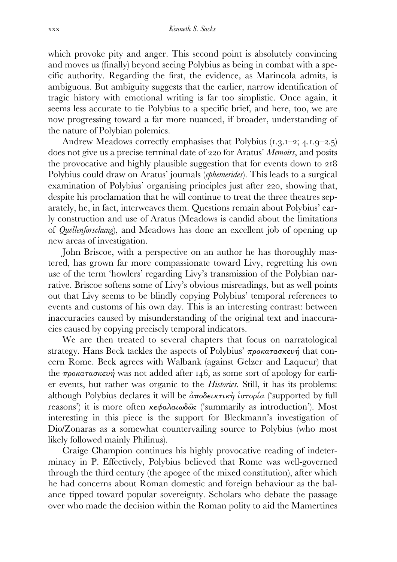which provoke pity and anger. This second point is absolutely convincing and moves us (finally) beyond seeing Polybius as being in combat with a specific authority. Regarding the first, the evidence, as Marincola admits, is ambiguous. But ambiguity suggests that the earlier, narrow identification of tragic history with emotional writing is far too simplistic. Once again, it seems less accurate to tie Polybius to a specific brief, and here, too, we are now progressing toward a far more nuanced, if broader, understanding of the nature of Polybian polemics.

Andrew Meadows correctly emphasises that Polybius  $(1.3.1-2; 4.1.9-2.5)$ does not give us a precise terminal date of 220 for Aratus' *Memoirs*, and posits the provocative and highly plausible suggestion that for events down to Polybius could draw on Aratus' journals (*ephemerides*). This leads to a surgical examination of Polybius' organising principles just after 220, showing that, despite his proclamation that he will continue to treat the three theatres separately, he, in fact, interweaves them. Questions remain about Polybius' early construction and use of Aratus (Meadows is candid about the limitations of *Quellenforschung*), and Meadows has done an excellent job of opening up new areas of investigation.

 John Briscoe, with a perspective on an author he has thoroughly mastered, has grown far more compassionate toward Livy, regretting his own use of the term 'howlers' regarding Livy's transmission of the Polybian narrative. Briscoe softens some of Livy's obvious misreadings, but as well points out that Livy seems to be blindly copying Polybius' temporal references to events and customs of his own day. This is an interesting contrast: between inaccuracies caused by misunderstanding of the original text and inaccuracies caused by copying precisely temporal indicators.

 We are then treated to several chapters that focus on narratological strategy. Hans Beck tackles the aspects of Polybius'  $\pi\rho$ oκατασκευή that concern Rome. Beck agrees with Walbank (against Gelzer and Laqueur) that the  $\pi\rho$ οκατασκευή was not added after 146, as some sort of apology for earlier events, but rather was organic to the *Histories*. Still, it has its problems: although Polybius declares it will be  $\hat{a}\pi o \delta \epsilon \kappa \tau \kappa \hat{\eta}$  *i*  $\sigma \tau o \rho' \hat{\alpha}$  ('supported by full reasons') it is more often κεφαλαιωδῶς ('summarily as introduction'). Most interesting in this piece is the support for Bleckmann's investigation of Dio/Zonaras as a somewhat countervailing source to Polybius (who most likely followed mainly Philinus).

Craige Champion continues his highly provocative reading of indeterminacy in P. Effectively, Polybius believed that Rome was well-governed through the third century (the apogee of the mixed constitution), after which he had concerns about Roman domestic and foreign behaviour as the balance tipped toward popular sovereignty. Scholars who debate the passage over who made the decision within the Roman polity to aid the Mamertines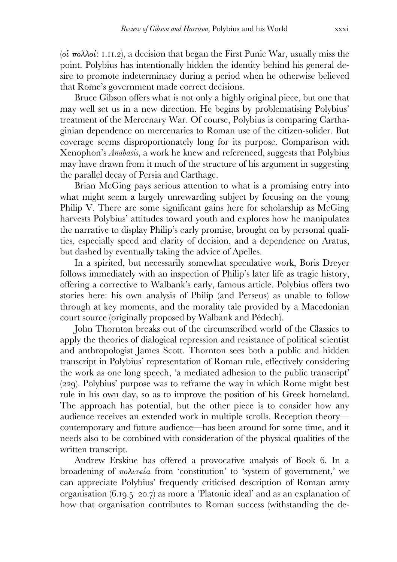(oi  $\pi$ oλλοί: 1.11.2), a decision that began the First Punic War, usually miss the point. Polybius has intentionally hidden the identity behind his general desire to promote indeterminacy during a period when he otherwise believed that Rome's government made correct decisions.

 Bruce Gibson offers what is not only a highly original piece, but one that may well set us in a new direction. He begins by problematising Polybius' treatment of the Mercenary War. Of course, Polybius is comparing Carthaginian dependence on mercenaries to Roman use of the citizen-solider. But coverage seems disproportionately long for its purpose. Comparison with Xenophon's *Anabasis*, a work he knew and referenced, suggests that Polybius may have drawn from it much of the structure of his argument in suggesting the parallel decay of Persia and Carthage.

 Brian McGing pays serious attention to what is a promising entry into what might seem a largely unrewarding subject by focusing on the young Philip V. There are some significant gains here for scholarship as McGing harvests Polybius' attitudes toward youth and explores how he manipulates the narrative to display Philip's early promise, brought on by personal qualities, especially speed and clarity of decision, and a dependence on Aratus, but dashed by eventually taking the advice of Apelles.

 In a spirited, but necessarily somewhat speculative work, Boris Dreyer follows immediately with an inspection of Philip's later life as tragic history, offering a corrective to Walbank's early, famous article. Polybius offers two stories here: his own analysis of Philip (and Perseus) as unable to follow through at key moments, and the morality tale provided by a Macedonian court source (originally proposed by Walbank and Pédech).

 John Thornton breaks out of the circumscribed world of the Classics to apply the theories of dialogical repression and resistance of political scientist and anthropologist James Scott. Thornton sees both a public and hidden transcript in Polybius' representation of Roman rule, effectively considering the work as one long speech, 'a mediated adhesion to the public transcript'  $(229)$ . Polybius' purpose was to reframe the way in which Rome might best rule in his own day, so as to improve the position of his Greek homeland. The approach has potential, but the other piece is to consider how any audience receives an extended work in multiple scrolls. Reception theory contemporary and future audience—has been around for some time, and it needs also to be combined with consideration of the physical qualities of the written transcript.

Andrew Erskine has offered a provocative analysis of Book 6. In a broadening of  $\pi o \lambda \iota \tau \epsilon i \alpha$  from 'constitution' to 'system of government,' we can appreciate Polybius' frequently criticised description of Roman army organisation  $(6.19.5-20.7)$  as more a 'Platonic ideal' and as an explanation of how that organisation contributes to Roman success (withstanding the de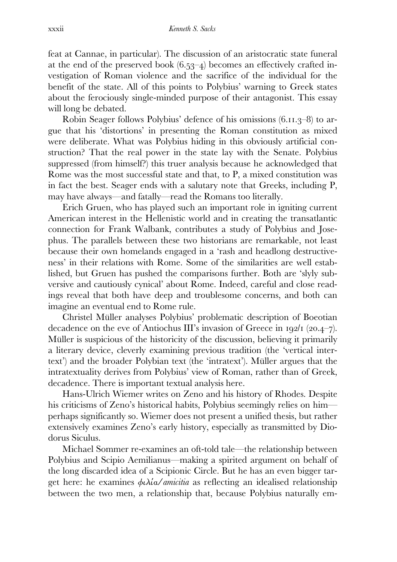feat at Cannae, in particular). The discussion of an aristocratic state funeral at the end of the preserved book  $(6.53-4)$  becomes an effectively crafted investigation of Roman violence and the sacrifice of the individual for the benefit of the state. All of this points to Polybius' warning to Greek states about the ferociously single-minded purpose of their antagonist. This essay will long be debated.

Robin Seager follows Polybius' defence of his omissions  $(6.11.3-8)$  to argue that his 'distortions' in presenting the Roman constitution as mixed were deliberate. What was Polybius hiding in this obviously artificial construction? That the real power in the state lay with the Senate. Polybius suppressed (from himself?) this truer analysis because he acknowledged that Rome was the most successful state and that, to P, a mixed constitution was in fact the best. Seager ends with a salutary note that Greeks, including P, may have always—and fatally—read the Romans too literally.

 Erich Gruen, who has played such an important role in igniting current American interest in the Hellenistic world and in creating the transatlantic connection for Frank Walbank, contributes a study of Polybius and Josephus. The parallels between these two historians are remarkable, not least because their own homelands engaged in a 'rash and headlong destructiveness' in their relations with Rome. Some of the similarities are well established, but Gruen has pushed the comparisons further. Both are 'slyly subversive and cautiously cynical' about Rome. Indeed, careful and close readings reveal that both have deep and troublesome concerns, and both can imagine an eventual end to Rome rule.

 Christel Müller analyses Polybius' problematic description of Boeotian decadence on the eve of Antiochus III's invasion of Greece in  $192/1$  (20.4–7). Müller is suspicious of the historicity of the discussion, believing it primarily a literary device, cleverly examining previous tradition (the 'vertical intertext') and the broader Polybian text (the 'intratext'). Müller argues that the intratextuality derives from Polybius' view of Roman, rather than of Greek, decadence. There is important textual analysis here.

 Hans-Ulrich Wiemer writes on Zeno and his history of Rhodes. Despite his criticisms of Zeno's historical habits, Polybius seemingly relies on him perhaps significantly so. Wiemer does not present a unified thesis, but rather extensively examines Zeno's early history, especially as transmitted by Diodorus Siculus.

 Michael Sommer re-examines an oft-told tale—the relationship between Polybius and Scipio Aemilianus—making a spirited argument on behalf of the long discarded idea of a Scipionic Circle. But he has an even bigger target here: he examines φιλία*/amicitia* as reflecting an idealised relationship between the two men, a relationship that, because Polybius naturally em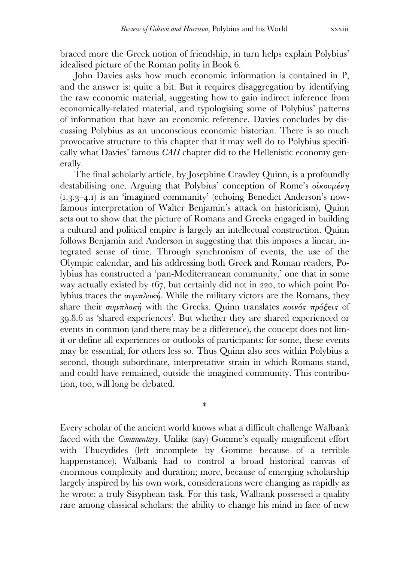braced more the Greek notion of friendship, in turn helps explain Polybius' idealised picture of the Roman polity in Book 6.

 John Davies asks how much economic information is contained in P, and the answer is: quite a bit. But it requires disaggregation by identifying the raw economic material, suggesting how to gain indirect inference from economically-related material, and typologising some of Polybius' patterns of information that have an economic reference. Davies concludes by discussing Polybius as an unconscious economic historian. There is so much provocative structure to this chapter that it may well do to Polybius specifically what Davies' famous *CAH* chapter did to the Hellenistic economy generally.

 The final scholarly article, by Josephine Crawley Quinn, is a profoundly destabilising one. Arguing that Polybius' conception of Rome's οικουμένη  $(1.3.3-4.1)$  is an 'imagined community' (echoing Benedict Anderson's nowfamous interpretation of Walter Benjamin's attack on historicism), Quinn sets out to show that the picture of Romans and Greeks engaged in building a cultural and political empire is largely an intellectual construction. Quinn follows Benjamin and Anderson in suggesting that this imposes a linear, integrated sense of time. Through synchronism of events, the use of the Olympic calendar, and his addressing both Greek and Roman readers, Polybius has constructed a 'pan-Mediterranean community,' one that in some way actually existed by 167, but certainly did not in 220, to which point Polybius traces the συμπλοκή. While the military victors are the Romans, they share their συμπλοκή with the Greeks. Quinn translates κοινάς πράξεις of .. as 'shared experiences'. But whether they are shared experienced or events in common (and there may be a difference), the concept does not limit or define all experiences or outlooks of participants: for some, these events may be essential; for others less so. Thus Quinn also sees within Polybius a second, though subordinate, interpretative strain in which Romans stand, and could have remained, outside the imagined community. This contribution, too, will long be debated.

\*

Every scholar of the ancient world knows what a difficult challenge Walbank faced with the *Commentary*. Unlike (say) Gomme's equally magnificent effort with Thucydides (left incomplete by Gomme because of a terrible happenstance), Walbank had to control a broad historical canvas of enormous complexity and duration; more, because of emerging scholarship largely inspired by his own work, considerations were changing as rapidly as he wrote: a truly Sisyphean task. For this task, Walbank possessed a quality rare among classical scholars: the ability to change his mind in face of new